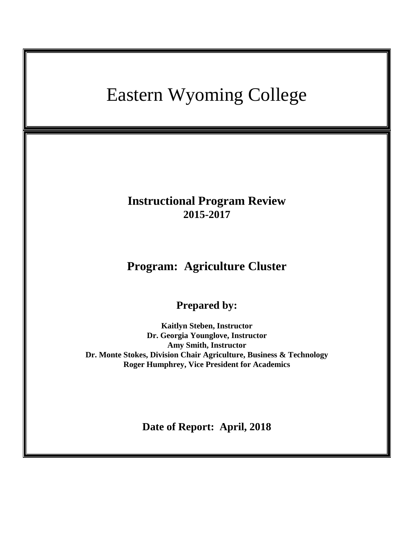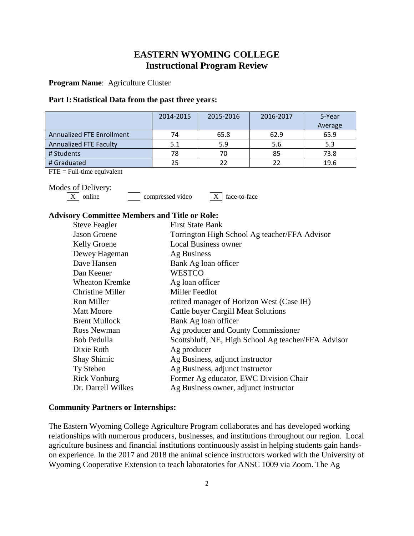# **EASTERN WYOMING COLLEGE Instructional Program Review**

**Program Name**: Agriculture Cluster

### **Part I: Statistical Data from the past three years:**

|                                  | 2014-2015 | 2015-2016 | 2016-2017 | 5-Year  |
|----------------------------------|-----------|-----------|-----------|---------|
|                                  |           |           |           | Average |
| <b>Annualized FTE Enrollment</b> | 74        | 65.8      | 62.9      | 65.9    |
| <b>Annualized FTE Faculty</b>    | 5.1       | 5.9       | 5.6       | 5.3     |
| # Students                       | 78        | 70        | 85        | 73.8    |
| # Graduated                      | 25        |           | フフ        | 19.6    |

 $FTE = Full-time equivalent$ 

Modes of Delivery:<br> $\boxed{\text{X}}$  online

 $compressed video$   $X \mid face-to-face$ 

## **Advisory Committee Members and Title or Role:**

| <b>Steve Feagler</b>    | <b>First State Bank</b>                             |
|-------------------------|-----------------------------------------------------|
| <b>Jason Groene</b>     | Torrington High School Ag teacher/FFA Advisor       |
| <b>Kelly Groene</b>     | <b>Local Business owner</b>                         |
| Dewey Hageman           | Ag Business                                         |
| Dave Hansen             | Bank Ag loan officer                                |
| Dan Keener              | <b>WESTCO</b>                                       |
| <b>Wheaton Kremke</b>   | Ag loan officer                                     |
| <b>Christine Miller</b> | Miller Feedlot                                      |
| Ron Miller              | retired manager of Horizon West (Case IH)           |
| <b>Matt Moore</b>       | Cattle buyer Cargill Meat Solutions                 |
| <b>Brent Mullock</b>    | Bank Ag loan officer                                |
| <b>Ross Newman</b>      | Ag producer and County Commissioner                 |
| Bob Pedulla             | Scottsbluff, NE, High School Ag teacher/FFA Advisor |
| Dixie Roth              | Ag producer                                         |
| <b>Shay Shimic</b>      | Ag Business, adjunct instructor                     |
| Ty Steben               | Ag Business, adjunct instructor                     |
| <b>Rick Vonburg</b>     | Former Ag educator, EWC Division Chair              |
| Dr. Darrell Wilkes      | Ag Business owner, adjunct instructor               |

## **Community Partners or Internships:**

The Eastern Wyoming College Agriculture Program collaborates and has developed working relationships with numerous producers, businesses, and institutions throughout our region. Local agriculture business and financial institutions continuously assist in helping students gain handson experience. In the 2017 and 2018 the animal science instructors worked with the University of Wyoming Cooperative Extension to teach laboratories for ANSC 1009 via Zoom. The Ag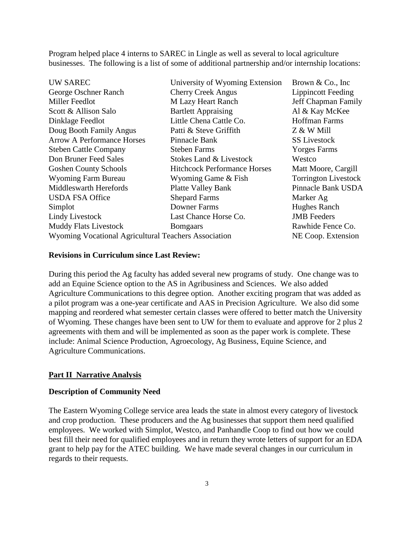Program helped place 4 interns to SAREC in Lingle as well as several to local agriculture businesses. The following is a list of some of additional partnership and/or internship locations:

| University of Wyoming Extension                      | Brown $& Co., Inc$          |
|------------------------------------------------------|-----------------------------|
| <b>Cherry Creek Angus</b>                            | <b>Lippincott Feeding</b>   |
| <b>M Lazy Heart Ranch</b>                            | Jeff Chapman Family         |
| <b>Bartlett Appraising</b>                           | Al & Kay McKee              |
| Little Chena Cattle Co.                              | <b>Hoffman Farms</b>        |
| Patti & Steve Griffith                               | Z & W Mill                  |
| Pinnacle Bank                                        | <b>SS Livestock</b>         |
| <b>Steben Farms</b>                                  | <b>Yorges Farms</b>         |
| Stokes Land & Livestock                              | Westco                      |
| <b>Hitchcock Performance Horses</b>                  | Matt Moore, Cargill         |
| Wyoming Game & Fish                                  | <b>Torrington Livestock</b> |
| <b>Platte Valley Bank</b>                            | Pinnacle Bank USDA          |
| <b>Shepard Farms</b>                                 | Marker Ag                   |
| Downer Farms                                         | Hughes Ranch                |
| Last Chance Horse Co.                                | <b>JMB</b> Feeders          |
| <b>Bomgaars</b>                                      | Rawhide Fence Co.           |
| Wyoming Vocational Agricultural Teachers Association |                             |
|                                                      |                             |

## **Revisions in Curriculum since Last Review:**

During this period the Ag faculty has added several new programs of study. One change was to add an Equine Science option to the AS in Agribusiness and Sciences. We also added Agriculture Communications to this degree option. Another exciting program that was added as a pilot program was a one-year certificate and AAS in Precision Agriculture. We also did some mapping and reordered what semester certain classes were offered to better match the University of Wyoming. These changes have been sent to UW for them to evaluate and approve for 2 plus 2 agreements with them and will be implemented as soon as the paper work is complete. These include: Animal Science Production, Agroecology, Ag Business, Equine Science, and Agriculture Communications.

#### **Part II Narrative Analysis**

## **Description of Community Need**

The Eastern Wyoming College service area leads the state in almost every category of livestock and crop production. These producers and the Ag businesses that support them need qualified employees. We worked with Simplot, Westco, and Panhandle Coop to find out how we could best fill their need for qualified employees and in return they wrote letters of support for an EDA grant to help pay for the ATEC building. We have made several changes in our curriculum in regards to their requests.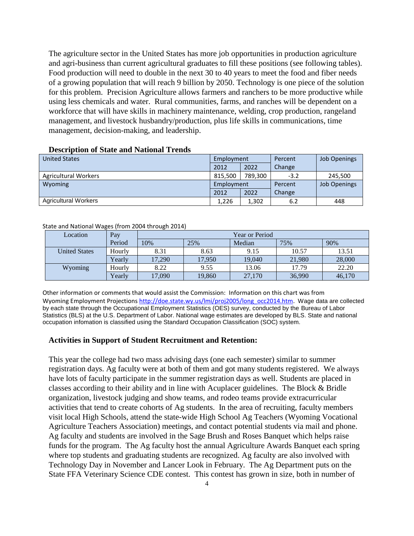The agriculture sector in the United States has more job opportunities in production agriculture and agri-business than current agricultural graduates to fill these positions (see following tables). Food production will need to double in the next 30 to 40 years to meet the food and fiber needs of a growing population that will reach 9 billion by 2050. Technology is one piece of the solution for this problem. Precision Agriculture allows farmers and ranchers to be more productive while using less chemicals and water. Rural communities, farms, and ranches will be dependent on a workforce that will have skills in machinery maintenance, welding, crop production, rangeland management, and livestock husbandry/production, plus life skills in communications, time management, decision-making, and leadership.

| <b>United States</b>        | Employment |         | Percent | <b>Job Openings</b> |
|-----------------------------|------------|---------|---------|---------------------|
|                             | 2012       | 2022    | Change  |                     |
| <b>Agricultural Workers</b> | 815.500    | 789.300 | $-3.2$  | 245,500             |
| Wyoming                     | Employment |         | Percent | <b>Job Openings</b> |
|                             | 2012       | 2022    | Change  |                     |
| <b>Agricultural Workers</b> | 1,226      | 1,302   | 6.2     | 448                 |

#### **Description of State and National Trends**

#### State and National Wages (from 2004 through 2014)

| Location             | Pay    | Year or Period |        |        |        |        |
|----------------------|--------|----------------|--------|--------|--------|--------|
|                      | Period | 10%            | 25%    | Median | 75%    | 90%    |
| <b>United States</b> | Hourly | 8.31           | 8.63   | 9.15   | 10.57  | 13.51  |
|                      | Yearly | 17.290         | 17.950 | 19.040 | 21,980 | 28,000 |
| Wyoming              | Hourly | 8.22           | 9.55   | 13.06  | 17.79  | 22.20  |
|                      | Yearly | 17,090         | 19,860 | 27,170 | 36,990 | 46,170 |

Other information or comments that would assist the Commission: Information on this chart was from Wyoming Employment Projections [http://doe.state.wy.us/lmi/proj2005/long\\_occ2014.htm.](http://doe.state.wy.us/lmi/proj2005/long_occ2014.htm) Wage data are collected by each state through the Occupational Employment Statistics (OES) survey, conducted by the Bureau of Labor Statistics (BLS) at the U.S. Department of Labor. National wage estimates are developed by BLS. State and national occupation infomation is classified using the Standard Occupation Classification (SOC) system.

## **Activities in Support of Student Recruitment and Retention:**

This year the college had two mass advising days (one each semester) similar to summer registration days. Ag faculty were at both of them and got many students registered. We always have lots of faculty participate in the summer registration days as well. Students are placed in classes according to their ability and in line with Acuplacer guidelines. The Block & Bridle organization, livestock judging and show teams, and rodeo teams provide extracurricular activities that tend to create cohorts of Ag students. In the area of recruiting, faculty members visit local High Schools, attend the state-wide High School Ag Teachers (Wyoming Vocational Agriculture Teachers Association) meetings, and contact potential students via mail and phone. Ag faculty and students are involved in the Sage Brush and Roses Banquet which helps raise funds for the program. The Ag faculty host the annual Agriculture Awards Banquet each spring where top students and graduating students are recognized. Ag faculty are also involved with Technology Day in November and Lancer Look in February. The Ag Department puts on the State FFA Veterinary Science CDE contest. This contest has grown in size, both in number of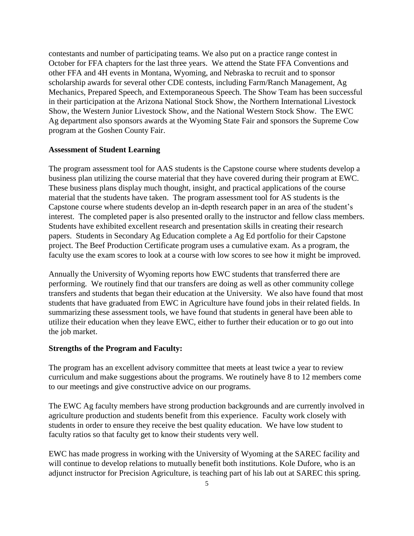contestants and number of participating teams. We also put on a practice range contest in October for FFA chapters for the last three years. We attend the State FFA Conventions and other FFA and 4H events in Montana, Wyoming, and Nebraska to recruit and to sponsor scholarship awards for several other CDE contests, including Farm/Ranch Management, Ag Mechanics, Prepared Speech, and Extemporaneous Speech. The Show Team has been successful in their participation at the Arizona National Stock Show, the Northern International Livestock Show, the Western Junior Livestock Show, and the National Western Stock Show. The EWC Ag department also sponsors awards at the Wyoming State Fair and sponsors the Supreme Cow program at the Goshen County Fair.

#### **Assessment of Student Learning**

The program assessment tool for AAS students is the Capstone course where students develop a business plan utilizing the course material that they have covered during their program at EWC. These business plans display much thought, insight, and practical applications of the course material that the students have taken. The program assessment tool for AS students is the Capstone course where students develop an in-depth research paper in an area of the student's interest. The completed paper is also presented orally to the instructor and fellow class members. Students have exhibited excellent research and presentation skills in creating their research papers. Students in Secondary Ag Education complete a Ag Ed portfolio for their Capstone project. The Beef Production Certificate program uses a cumulative exam. As a program, the faculty use the exam scores to look at a course with low scores to see how it might be improved.

Annually the University of Wyoming reports how EWC students that transferred there are performing. We routinely find that our transfers are doing as well as other community college transfers and students that began their education at the University. We also have found that most students that have graduated from EWC in Agriculture have found jobs in their related fields. In summarizing these assessment tools, we have found that students in general have been able to utilize their education when they leave EWC, either to further their education or to go out into the job market.

#### **Strengths of the Program and Faculty:**

The program has an excellent advisory committee that meets at least twice a year to review curriculum and make suggestions about the programs. We routinely have 8 to 12 members come to our meetings and give constructive advice on our programs.

The EWC Ag faculty members have strong production backgrounds and are currently involved in agriculture production and students benefit from this experience. Faculty work closely with students in order to ensure they receive the best quality education. We have low student to faculty ratios so that faculty get to know their students very well.

EWC has made progress in working with the University of Wyoming at the SAREC facility and will continue to develop relations to mutually benefit both institutions. Kole Dufore, who is an adjunct instructor for Precision Agriculture, is teaching part of his lab out at SAREC this spring.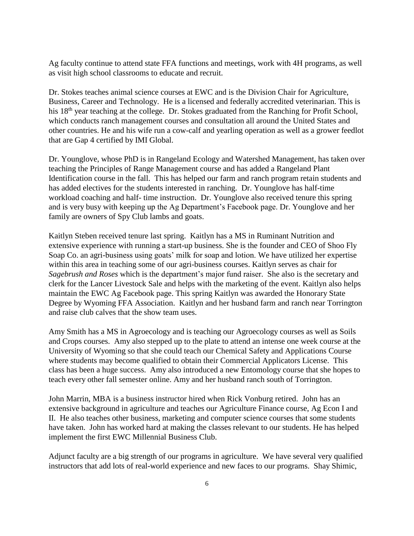Ag faculty continue to attend state FFA functions and meetings, work with 4H programs, as well as visit high school classrooms to educate and recruit.

Dr. Stokes teaches animal science courses at EWC and is the Division Chair for Agriculture, Business, Career and Technology. He is a licensed and federally accredited veterinarian. This is his 18<sup>th</sup> year teaching at the college. Dr. Stokes graduated from the Ranching for Profit School, which conducts ranch management courses and consultation all around the United States and other countries. He and his wife run a cow-calf and yearling operation as well as a grower feedlot that are Gap 4 certified by IMI Global.

Dr. Younglove, whose PhD is in Rangeland Ecology and Watershed Management, has taken over teaching the Principles of Range Management course and has added a Rangeland Plant Identification course in the fall. This has helped our farm and ranch program retain students and has added electives for the students interested in ranching. Dr. Younglove has half-time workload coaching and half- time instruction. Dr. Younglove also received tenure this spring and is very busy with keeping up the Ag Department's Facebook page. Dr. Younglove and her family are owners of Spy Club lambs and goats.

Kaitlyn Steben received tenure last spring. Kaitlyn has a MS in Ruminant Nutrition and extensive experience with running a start-up business. She is the founder and CEO of Shoo Fly Soap Co. an agri-business using goats' milk for soap and lotion. We have utilized her expertise within this area in teaching some of our agri-business courses. Kaitlyn serves as chair for *Sagebrush and Roses* which is the department's major fund raiser. She also is the secretary and clerk for the Lancer Livestock Sale and helps with the marketing of the event. Kaitlyn also helps maintain the EWC Ag Facebook page. This spring Kaitlyn was awarded the Honorary State Degree by Wyoming FFA Association. Kaitlyn and her husband farm and ranch near Torrington and raise club calves that the show team uses.

Amy Smith has a MS in Agroecology and is teaching our Agroecology courses as well as Soils and Crops courses. Amy also stepped up to the plate to attend an intense one week course at the University of Wyoming so that she could teach our Chemical Safety and Applications Course where students may become qualified to obtain their Commercial Applicators License. This class has been a huge success. Amy also introduced a new Entomology course that she hopes to teach every other fall semester online. Amy and her husband ranch south of Torrington.

John Marrin, MBA is a business instructor hired when Rick Vonburg retired. John has an extensive background in agriculture and teaches our Agriculture Finance course, Ag Econ I and II. He also teaches other business, marketing and computer science courses that some students have taken. John has worked hard at making the classes relevant to our students. He has helped implement the first EWC Millennial Business Club.

Adjunct faculty are a big strength of our programs in agriculture. We have several very qualified instructors that add lots of real-world experience and new faces to our programs. Shay Shimic,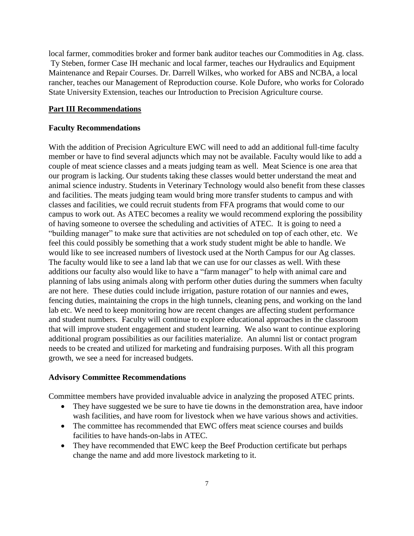local farmer, commodities broker and former bank auditor teaches our Commodities in Ag. class. Ty Steben, former Case IH mechanic and local farmer, teaches our Hydraulics and Equipment Maintenance and Repair Courses. Dr. Darrell Wilkes, who worked for ABS and NCBA, a local rancher, teaches our Management of Reproduction course. Kole Dufore, who works for Colorado State University Extension, teaches our Introduction to Precision Agriculture course.

## **Part III Recommendations**

#### **Faculty Recommendations**

With the addition of Precision Agriculture EWC will need to add an additional full-time faculty member or have to find several adjuncts which may not be available. Faculty would like to add a couple of meat science classes and a meats judging team as well. Meat Science is one area that our program is lacking. Our students taking these classes would better understand the meat and animal science industry. Students in Veterinary Technology would also benefit from these classes and facilities. The meats judging team would bring more transfer students to campus and with classes and facilities, we could recruit students from FFA programs that would come to our campus to work out. As ATEC becomes a reality we would recommend exploring the possibility of having someone to oversee the scheduling and activities of ATEC. It is going to need a "building manager" to make sure that activities are not scheduled on top of each other, etc. We feel this could possibly be something that a work study student might be able to handle. We would like to see increased numbers of livestock used at the North Campus for our Ag classes. The faculty would like to see a land lab that we can use for our classes as well. With these additions our faculty also would like to have a "farm manager" to help with animal care and planning of labs using animals along with perform other duties during the summers when faculty are not here. These duties could include irrigation, pasture rotation of our nannies and ewes, fencing duties, maintaining the crops in the high tunnels, cleaning pens, and working on the land lab etc. We need to keep monitoring how are recent changes are affecting student performance and student numbers. Faculty will continue to explore educational approaches in the classroom that will improve student engagement and student learning. We also want to continue exploring additional program possibilities as our facilities materialize. An alumni list or contact program needs to be created and utilized for marketing and fundraising purposes. With all this program growth, we see a need for increased budgets.

## **Advisory Committee Recommendations**

Committee members have provided invaluable advice in analyzing the proposed ATEC prints.

- They have suggested we be sure to have tie downs in the demonstration area, have indoor wash facilities, and have room for livestock when we have various shows and activities.
- The committee has recommended that EWC offers meat science courses and builds facilities to have hands-on-labs in ATEC.
- They have recommended that EWC keep the Beef Production certificate but perhaps change the name and add more livestock marketing to it.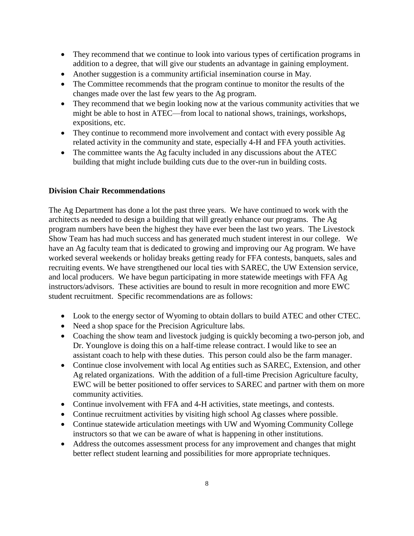- They recommend that we continue to look into various types of certification programs in addition to a degree, that will give our students an advantage in gaining employment.
- Another suggestion is a community artificial insemination course in May.
- The Committee recommends that the program continue to monitor the results of the changes made over the last few years to the Ag program.
- They recommend that we begin looking now at the various community activities that we might be able to host in ATEC—from local to national shows, trainings, workshops, expositions, etc.
- They continue to recommend more involvement and contact with every possible Ag related activity in the community and state, especially 4-H and FFA youth activities.
- The committee wants the Ag faculty included in any discussions about the ATEC building that might include building cuts due to the over-run in building costs.

## **Division Chair Recommendations**

The Ag Department has done a lot the past three years. We have continued to work with the architects as needed to design a building that will greatly enhance our programs. The Ag program numbers have been the highest they have ever been the last two years. The Livestock Show Team has had much success and has generated much student interest in our college. We have an Ag faculty team that is dedicated to growing and improving our Ag program. We have worked several weekends or holiday breaks getting ready for FFA contests, banquets, sales and recruiting events. We have strengthened our local ties with SAREC, the UW Extension service, and local producers. We have begun participating in more statewide meetings with FFA Ag instructors/advisors. These activities are bound to result in more recognition and more EWC student recruitment. Specific recommendations are as follows:

- Look to the energy sector of Wyoming to obtain dollars to build ATEC and other CTEC.
- Need a shop space for the Precision Agriculture labs.
- Coaching the show team and livestock judging is quickly becoming a two-person job, and Dr. Younglove is doing this on a half-time release contract. I would like to see an assistant coach to help with these duties. This person could also be the farm manager.
- Continue close involvement with local Ag entities such as SAREC, Extension, and other Ag related organizations. With the addition of a full-time Precision Agriculture faculty, EWC will be better positioned to offer services to SAREC and partner with them on more community activities.
- Continue involvement with FFA and 4-H activities, state meetings, and contests.
- Continue recruitment activities by visiting high school Ag classes where possible.
- Continue statewide articulation meetings with UW and Wyoming Community College instructors so that we can be aware of what is happening in other institutions.
- Address the outcomes assessment process for any improvement and changes that might better reflect student learning and possibilities for more appropriate techniques.